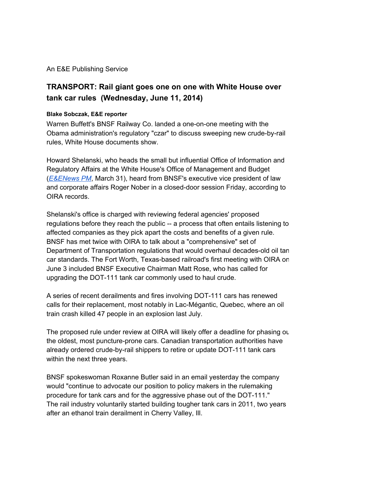An E&E Publishing Service

## **TRANSPORT: Rail giant goes one on one with White House over tank car rules (Wednesday, June 11, 2014)**

## **Blake Sobczak, E&E reporter**

Warren Buffett's BNSF Railway Co. landed a one-on-one meeting with the Obama administration's regulatory "czar" to discuss sweeping new crude-by-rail rules, White House documents show.

Howard Shelanski, who heads the small but influential Office of Information and Regulatory Affairs at the White House's Office of Management and Budget (*[E&ENews](http://www.google.com/url?q=http%3A%2F%2Fwww.eenews.net%2Feenewspm%2Fstories%2F1059997056%2F&sa=D&sntz=1&usg=AFQjCNHwRLC9nda7Ww3xYWiBA-M5SOTc7g) PM*, March 31), heard from BNSF's executive vice president of law and corporate affairs Roger Nober in a closed-door session Friday, according to OIRA records.

Shelanski's office is charged with reviewing federal agencies' proposed regulations before they reach the public -- a process that often entails listening to affected companies as they pick apart the costs and benefits of a given rule. BNSF has met twice with OIRA to talk about a "comprehensive" set of Department of Transportation regulations that would overhaul decades-old oil tan car standards. The Fort Worth, Texas-based railroad's first meeting with OIRA on June 3 included BNSF Executive Chairman Matt Rose, who has called for upgrading the DOT-111 tank car commonly used to haul crude.

A series of recent derailments and fires involving DOT-111 cars has renewed calls for their replacement, most notably in LacMégantic, Quebec, where an oil train crash killed 47 people in an explosion last July.

The proposed rule under review at OIRA will likely offer a deadline for phasing out the oldest, most puncture-prone cars. Canadian transportation authorities have already ordered crude-by-rail shippers to retire or update DOT-111 tank cars within the next three years.

BNSF spokeswoman Roxanne Butler said in an email yesterday the company would "continue to advocate our position to policy makers in the rulemaking procedure for tank cars and for the aggressive phase out of the DOT-111." The rail industry voluntarily started building tougher tank cars in 2011, two years after an ethanol train derailment in Cherry Valley, Ill.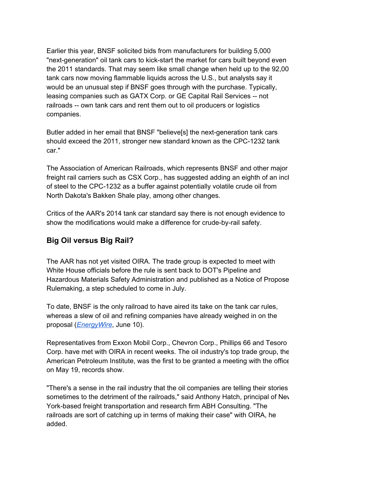Earlier this year, BNSF solicited bids from manufacturers for building 5,000 "next-generation" oil tank cars to kick-start the market for cars built beyond even the 2011 standards. That may seem like small change when held up to the 92,00 tank cars now moving flammable liquids across the U.S., but analysts say it would be an unusual step if BNSF goes through with the purchase. Typically, leasing companies such as GATX Corp. or GE Capital Rail Services -- not railroads -- own tank cars and rent them out to oil producers or logistics companies.

Butler added in her email that BNSF "believe[s] the next-generation tank cars should exceed the 2011, stronger new standard known as the CPC-1232 tank car."

The Association of American Railroads, which represents BNSF and other major freight rail carriers such as CSX Corp., has suggested adding an eighth of an inch of steel to the CPC1232 as a buffer against potentially volatile crude oil from North Dakota's Bakken Shale play, among other changes.

Critics of the AAR's 2014 tank car standard say there is not enough evidence to show the modifications would make a difference for crude-by-rail safety.

## **Big Oil versus Big Rail?**

The AAR has not yet visited OIRA. The trade group is expected to meet with White House officials before the rule is sent back to DOT's Pipeline and Hazardous Materials Safety Administration and published as a Notice of Proposed Rulemaking, a step scheduled to come in July.

To date, BNSF is the only railroad to have aired its take on the tank car rules, whereas a slew of oil and refining companies have already weighed in on the proposal (*[EnergyWire](http://www.google.com/url?q=http%3A%2F%2Fwww.eenews.net%2Fenergywire%2Fstories%2F1060001007%2F&sa=D&sntz=1&usg=AFQjCNEDUPhkjBFmXC7f28n_cWJdENenrw)*, June 10).

Representatives from Exxon Mobil Corp., Chevron Corp., Phillips 66 and Tesoro Corp. have met with OIRA in recent weeks. The oil industry's top trade group, the American Petroleum Institute, was the first to be granted a meeting with the office on May 19, records show.

"There's a sense in the rail industry that the oil companies are telling their stories sometimes to the detriment of the railroads," said Anthony Hatch, principal of Nev York-based freight transportation and research firm ABH Consulting. "The railroads are sort of catching up in terms of making their case" with OIRA, he added.